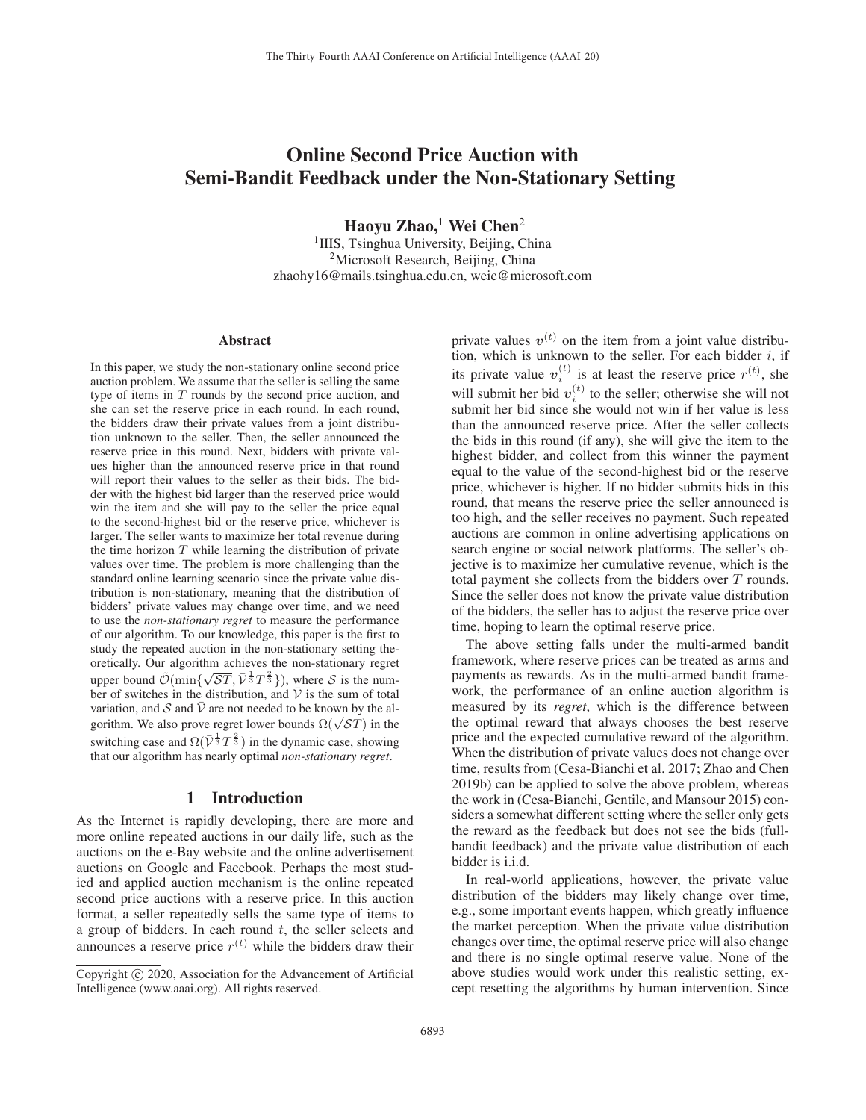# Online Second Price Auction with Semi-Bandit Feedback under the Non-Stationary Setting

Haoyu Zhao,<sup>1</sup> Wei Chen<sup>2</sup>

<sup>1</sup>IIIS, Tsinghua University, Beijing, China <sup>2</sup>Microsoft Research, Beijing, China zhaohy16@mails.tsinghua.edu.cn, weic@microsoft.com

#### Abstract

In this paper, we study the non-stationary online second price auction problem. We assume that the seller is selling the same type of items in  $T$  rounds by the second price auction, and she can set the reserve price in each round. In each round, the bidders draw their private values from a joint distribution unknown to the seller. Then, the seller announced the reserve price in this round. Next, bidders with private values higher than the announced reserve price in that round will report their values to the seller as their bids. The bidder with the highest bid larger than the reserved price would win the item and she will pay to the seller the price equal to the second-highest bid or the reserve price, whichever is larger. The seller wants to maximize her total revenue during the time horizon  $T$  while learning the distribution of private values over time. The problem is more challenging than the standard online learning scenario since the private value distribution is non-stationary, meaning that the distribution of bidders' private values may change over time, and we need to use the *non-stationary regret* to measure the performance of our algorithm. To our knowledge, this paper is the first to study the repeated auction in the non-stationary setting theoretically. Our algorithm achieves the non-stationary regret upper bound  $\tilde{\mathcal{O}}(\min\{\sqrt{ST}, \bar{\mathcal{V}}^{\frac{1}{3}}T^{\frac{2}{3}}\})$ , where S is the number of switches in the distribution, and  $\overline{V}$  is the sum of total variation, and S and  $\overline{V}$  are not needed to be known by the algorithm. We also prove regret lower bounds  $\Omega(\sqrt{ST})$  in the switching case and  $\Omega(\bar{\mathcal{V}}^{\frac{1}{3}}T^{\frac{2}{3}})$  in the dynamic case, showing that our algorithm has nearly optimal *non-stationary regret*.

### 1 Introduction

As the Internet is rapidly developing, there are more and more online repeated auctions in our daily life, such as the auctions on the e-Bay website and the online advertisement auctions on Google and Facebook. Perhaps the most studied and applied auction mechanism is the online repeated second price auctions with a reserve price. In this auction format, a seller repeatedly sells the same type of items to a group of bidders. In each round  $t$ , the seller selects and announces a reserve price  $r^{(t)}$  while the bidders draw their

private values  $v^{(t)}$  on the item from a joint value distribution, which is unknown to the seller. For each bidder  $i$ , if its private value  $v_i^{(t)}$  is at least the reserve price  $r^{(t)}$ , she will submit her bid  $v_i^{(t)}$  to the seller; otherwise she will not submit her bid since she would not win if her value is less than the announced reserve price. After the seller collects the bids in this round (if any), she will give the item to the highest bidder, and collect from this winner the payment equal to the value of the second-highest bid or the reserve price, whichever is higher. If no bidder submits bids in this round, that means the reserve price the seller announced is too high, and the seller receives no payment. Such repeated auctions are common in online advertising applications on search engine or social network platforms. The seller's objective is to maximize her cumulative revenue, which is the total payment she collects from the bidders over T rounds. Since the seller does not know the private value distribution of the bidders, the seller has to adjust the reserve price over time, hoping to learn the optimal reserve price.

The above setting falls under the multi-armed bandit framework, where reserve prices can be treated as arms and payments as rewards. As in the multi-armed bandit framework, the performance of an online auction algorithm is measured by its *regret*, which is the difference between the optimal reward that always chooses the best reserve price and the expected cumulative reward of the algorithm. When the distribution of private values does not change over time, results from (Cesa-Bianchi et al. 2017; Zhao and Chen 2019b) can be applied to solve the above problem, whereas the work in (Cesa-Bianchi, Gentile, and Mansour 2015) considers a somewhat different setting where the seller only gets the reward as the feedback but does not see the bids (fullbandit feedback) and the private value distribution of each bidder is i.i.d.

In real-world applications, however, the private value distribution of the bidders may likely change over time, e.g., some important events happen, which greatly influence the market perception. When the private value distribution changes over time, the optimal reserve price will also change and there is no single optimal reserve value. None of the above studies would work under this realistic setting, except resetting the algorithms by human intervention. Since

Copyright (c) 2020, Association for the Advancement of Artificial Intelligence (www.aaai.org). All rights reserved.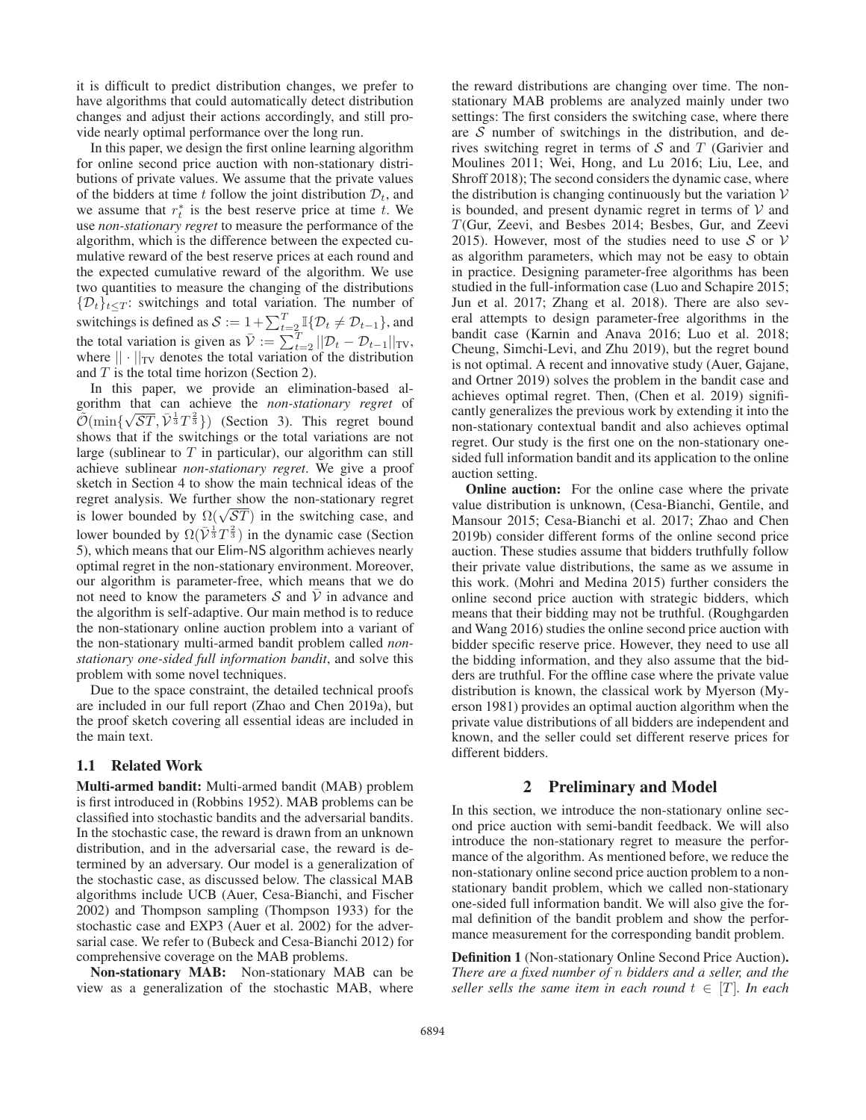it is difficult to predict distribution changes, we prefer to have algorithms that could automatically detect distribution changes and adjust their actions accordingly, and still provide nearly optimal performance over the long run.

In this paper, we design the first online learning algorithm for online second price auction with non-stationary distributions of private values. We assume that the private values of the bidders at time t follow the joint distribution  $\mathcal{D}_t$ , and we assume that  $r_t^*$  is the best reserve price at time t. We use *non-stationary regret* to measure the performance of the algorithm, which is the difference between the expected cumulative reward of the best reserve prices at each round and the expected cumulative reward of the algorithm. We use two quantities to measure the changing of the distributions  $\{\mathcal{D}_t\}_{t\leq T}$ : switchings and total variation. The number of switchings is defined as  $S := 1 + \sum_{t=2}^{T} \mathbb{I} \{ \mathcal{D}_t \neq \mathcal{D}_{t-1} \}$ , and the total variation is given as  $\overline{V} := \sum_{t=2}^{T} ||\mathcal{D}_t - \mathcal{D}_{t-1}||_{TV}$ , where  $|| \cdot ||_{TV}$  denotes the total variation of the distribution where  $|| \cdot ||_{TV}$  denotes the total variation of the distribution and  $T$  is the total time horizon (Section 2).

In this paper, we provide an elimination-based algorithm that can achieve the *non-stationary regret* of  $\tilde{\mathcal{O}}(\min{\{\sqrt{ST}, \overline{\mathcal{V}}^{\frac{1}{3}}T^{\frac{2}{3}}\}})$  (Section 3). This regret bound shows that if the switchings or the total variations are not shows that if the switchings or the total variations are not large (sublinear to  $T$  in particular), our algorithm can still achieve sublinear *non-stationary regret*. We give a proof sketch in Section 4 to show the main technical ideas of the regret analysis. We further show the non-stationary regret is lower bounded by  $\Omega(\sqrt{ST})$  in the switching case, and<br>lower bounded by  $\Omega(\sqrt{ST})$  in the switching case, and lower bounded by  $\Omega(\bar{\mathcal{V}}^{\frac{1}{3}}T^{\frac{2}{3}})$  in the dynamic case (Section 5) which means that our Flim-NS algorithm achieves nearly 5), which means that our Elim-NS algorithm achieves nearly optimal regret in the non-stationary environment. Moreover, our algorithm is parameter-free, which means that we do not need to know the parameters S and  $\overline{V}$  in advance and the algorithm is self-adaptive. Our main method is to reduce the non-stationary online auction problem into a variant of the non-stationary multi-armed bandit problem called *nonstationary one-sided full information bandit*, and solve this problem with some novel techniques.

Due to the space constraint, the detailed technical proofs are included in our full report (Zhao and Chen 2019a), but the proof sketch covering all essential ideas are included in the main text.

### 1.1 Related Work

Multi-armed bandit: Multi-armed bandit (MAB) problem is first introduced in (Robbins 1952). MAB problems can be classified into stochastic bandits and the adversarial bandits. In the stochastic case, the reward is drawn from an unknown distribution, and in the adversarial case, the reward is determined by an adversary. Our model is a generalization of the stochastic case, as discussed below. The classical MAB algorithms include UCB (Auer, Cesa-Bianchi, and Fischer 2002) and Thompson sampling (Thompson 1933) for the stochastic case and EXP3 (Auer et al. 2002) for the adversarial case. We refer to (Bubeck and Cesa-Bianchi 2012) for comprehensive coverage on the MAB problems.

Non-stationary MAB: Non-stationary MAB can be view as a generalization of the stochastic MAB, where

the reward distributions are changing over time. The nonstationary MAB problems are analyzed mainly under two settings: The first considers the switching case, where there are  $S$  number of switchings in the distribution, and derives switching regret in terms of  $S$  and  $T$  (Garivier and Moulines 2011; Wei, Hong, and Lu 2016; Liu, Lee, and Shroff 2018); The second considers the dynamic case, where the distribution is changing continuously but the variation  $V$ is bounded, and present dynamic regret in terms of  $V$  and T(Gur, Zeevi, and Besbes 2014; Besbes, Gur, and Zeevi 2015). However, most of the studies need to use  $S$  or  $V$ as algorithm parameters, which may not be easy to obtain in practice. Designing parameter-free algorithms has been studied in the full-information case (Luo and Schapire 2015; Jun et al. 2017; Zhang et al. 2018). There are also several attempts to design parameter-free algorithms in the bandit case (Karnin and Anava 2016; Luo et al. 2018; Cheung, Simchi-Levi, and Zhu 2019), but the regret bound is not optimal. A recent and innovative study (Auer, Gajane, and Ortner 2019) solves the problem in the bandit case and achieves optimal regret. Then, (Chen et al. 2019) significantly generalizes the previous work by extending it into the non-stationary contextual bandit and also achieves optimal regret. Our study is the first one on the non-stationary onesided full information bandit and its application to the online auction setting.

Online auction: For the online case where the private value distribution is unknown, (Cesa-Bianchi, Gentile, and Mansour 2015; Cesa-Bianchi et al. 2017; Zhao and Chen 2019b) consider different forms of the online second price auction. These studies assume that bidders truthfully follow their private value distributions, the same as we assume in this work. (Mohri and Medina 2015) further considers the online second price auction with strategic bidders, which means that their bidding may not be truthful. (Roughgarden and Wang 2016) studies the online second price auction with bidder specific reserve price. However, they need to use all the bidding information, and they also assume that the bidders are truthful. For the offline case where the private value distribution is known, the classical work by Myerson (Myerson 1981) provides an optimal auction algorithm when the private value distributions of all bidders are independent and known, and the seller could set different reserve prices for different bidders.

### 2 Preliminary and Model

In this section, we introduce the non-stationary online second price auction with semi-bandit feedback. We will also introduce the non-stationary regret to measure the performance of the algorithm. As mentioned before, we reduce the non-stationary online second price auction problem to a nonstationary bandit problem, which we called non-stationary one-sided full information bandit. We will also give the formal definition of the bandit problem and show the performance measurement for the corresponding bandit problem.

Definition 1 (Non-stationary Online Second Price Auction). *There are a fixed number of* n *bidders and a seller, and the seller sells the same item in each round*  $t \in [T]$ *. In each*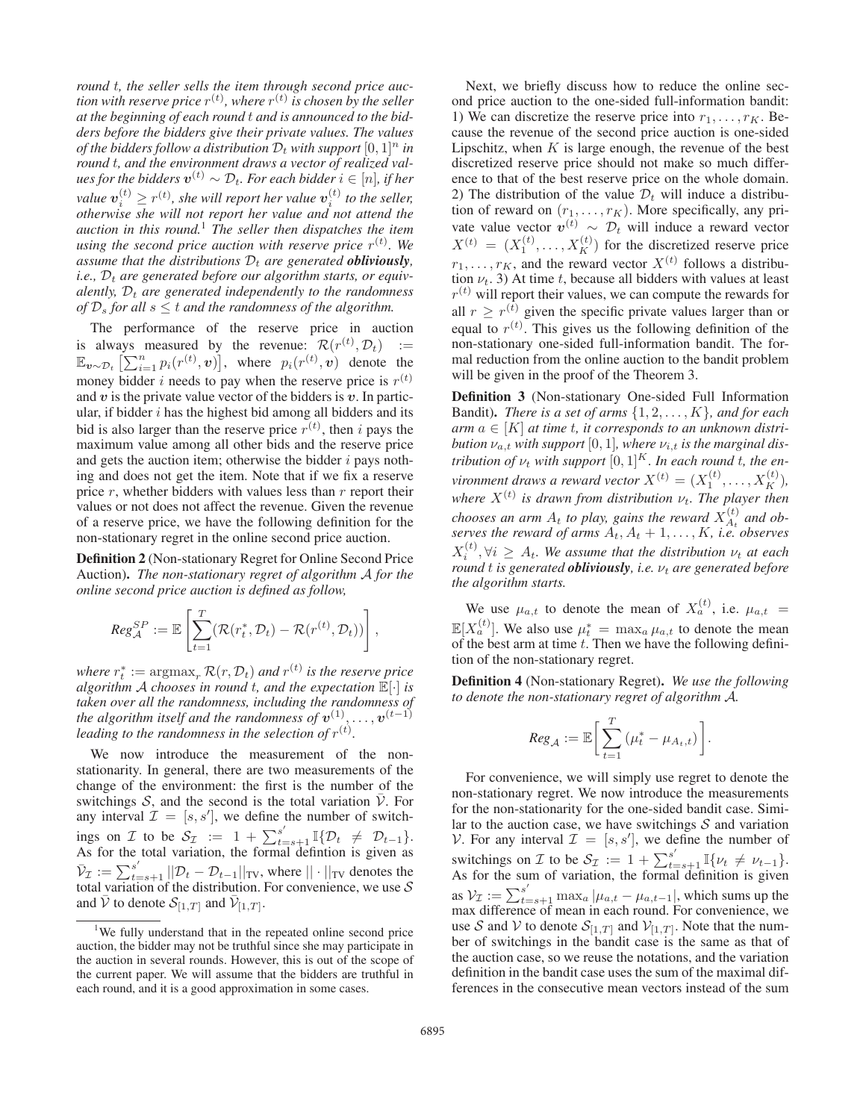*round* t*, the seller sells the item through second price auc* $t$ ion with reserve price  $r^{(t)}$  , where  $r^{(t)}$  is chosen by the seller *at the beginning of each round* t *and is announced to the bidders before the bidders give their private values. The values of the bidders follow a distribution*  $D_t$  *with support*  $[0, 1]^n$  *in round* t*, and the environment draws a vector of realized values for the bidders*  $v^{(t)} \sim \mathcal{D}_t$ . For each bidder  $i \in [n]$ , if her value  $v_i^{(t)} \geq r^{(t)}$ , she will report her value  $v_i^{(t)}$  to the seller, *otherwise she will not report her value and not attend the auction in this round.*<sup>1</sup> *The seller then dispatches the item* using the second price auction with reserve price  $r^{(t)}$ . We *assume that the distributions*  $D_t$  *are generated obliviously*,  $i.e.,  $D_t$  are generated before our algorithm starts, or equiv$ *alently,*  $D_t$  *are generated independently to the randomness of*  $\mathcal{D}_s$  *for all*  $s \leq t$  *and the randomness of the algorithm.* 

The performance of the reserve price in auction is always measured by the revenue:  $\mathcal{R}(r^{(t)}, \mathcal{D}_t) :=$ <br>  $\mathbb{E} \left[ \sum_{n=1}^{n} n_n(r^{(t)}, \mathbf{a}) \right]$  where  $n_r(r^{(t)}, \mathbf{a})$  denote the  $\mathbb{E}_{\mathbf{v} \sim \mathcal{D}_t} \left[ \sum_{i=1}^n p_i(r^{(t)}, \mathbf{v}) \right]$ , where  $p_i(r^{(t)}, \mathbf{v})$  denote the money bidder i needs to pay when the reserve price is  $r^{(t)}$ and  $v$  is the private value vector of the bidders is  $v$ . In particular, if bidder  $i$  has the highest bid among all bidders and its bid is also larger than the reserve price  $r^{(t)}$ , then i pays the maximum value among all other bids and the reserve price and gets the auction item; otherwise the bidder  $i$  pays nothing and does not get the item. Note that if we fix a reserve price  $r$ , whether bidders with values less than  $r$  report their values or not does not affect the revenue. Given the revenue of a reserve price, we have the following definition for the non-stationary regret in the online second price auction.

Definition 2 (Non-stationary Regret for Online Second Price Auction). *The non-stationary regret of algorithm* A *for the online second price auction is defined as follow,*

$$
Reg_{\mathcal{A}}^{SP} := \mathbb{E}\left[\sum_{t=1}^T (\mathcal{R}(r_t^*, \mathcal{D}_t) - \mathcal{R}(r^{(t)}, \mathcal{D}_t))\right],
$$

*where*  $r_t^* := \operatorname{argmax}_r R(r, \mathcal{D}_t)$  *and*  $r^{(t)}$  *is the reserve price*<br>*algorithm A chooses in round t, and the expectation*  $\mathbb{E}[\cdot]$  *is algorithm* <sup>A</sup> *chooses in round* <sup>t</sup>*, and the expectation* <sup>E</sup>[·] *is taken over all the randomness, including the randomness of the algorithm itself and the randomness of*  $v^{(1)}, \ldots, v^{(t-1)}$ leading to the randomness in the selection of  $r^{(t)}$ .

We now introduce the measurement of the nonstationarity. In general, there are two measurements of the change of the environment: the first is the number of the switchings  $S$ , and the second is the total variation  $V$ . For any interval  $\mathcal{I} = [s, s']$ , we define the number of switchings on *I* to be  $S_{\mathcal{I}} := 1 + \sum_{t=s+1}^{s'} \mathbb{I} \{ \mathcal{D}_t \neq \mathcal{D}_{t-1} \}.$  As for the total variation, the formal definition is given as  $\bar{\mathcal{V}}_{\mathcal{I}} := \sum_{s=1}^{s'} ||\mathcal{D}_t - \mathcal{D}_{t-1}||_{TV}$ , where  $|| \cdot ||_{TV}$  denotes the total variation of the distribution. For convenience, we use S total variation of the distribution. For convenience, we use  $S$ and  $\bar{V}$  to denote  $S_{[1,T]}$  and  $\bar{V}_{[1,T]}$ .

Next, we briefly discuss how to reduce the online second price auction to the one-sided full-information bandit: 1) We can discretize the reserve price into  $r_1, \ldots, r_K$ . Because the revenue of the second price auction is one-sided Lipschitz, when  $K$  is large enough, the revenue of the best discretized reserve price should not make so much difference to that of the best reserve price on the whole domain. 2) The distribution of the value  $\mathcal{D}_t$  will induce a distribution of reward on  $(r_1, \ldots, r_K)$ . More specifically, any private value vector  $v^{(t)} \sim \mathcal{D}_t$  will induce a reward vector  $X^{(t)} = (X_1^{(t)}, \dots, X_K^{(t)})$  for the discretized reserve price  $r_1, \ldots, r_K$ , and the reward vector  $X^{(t)}$  follows a distribution  $\nu_t$ . 3) At time t, because all bidders with values at least  $r^{(t)}$  will report their values, we can compute the rewards for all  $r \geq r^{(t)}$  given the specific private values larger than or equal to  $r^{(t)}$ . This gives us the following definition of the non-stationary one-sided full-information bandit. The formal reduction from the online auction to the bandit problem will be given in the proof of the Theorem 3.

Definition 3 (Non-stationary One-sided Full Information Bandit). *There is a set of arms* {1, 2,...,K}*, and for each*  $arm\ a \in [K]$  *at time t, it corresponds to an unknown distribution*  $\nu_{a,t}$  *with support* [0, 1]*, where*  $\nu_{i,t}$  *is the marginal distribution of*  $\nu_t$  *with support*  $[0, 1]^K$ *. In each round t, the environment draws a reward vector*  $X^{(t)} = (X_1^{(t)}, \ldots, X_K^{(t)})$ , where  $X^{(t)}$  is drawn from distribution  $\nu_t$ . The player then *chooses an arm*  $A_t$  *to play, gains the reward*  $X_{A_t}^{(t)}$  *and observes the reward of arms*  $A_t$ ,  $A_t$  + 1, ...,  $K$ , *i.e.* observes  $\mathbf{v}^{(t)}$   $\forall i$   $\rightarrow$  4. We assume that the distribution  $\mathbf{v}_i$  at each  $X_i^{(t)}, \forall i \geq A_t$ . We assume that the distribution  $\nu_t$  at each *round t is generated obliviously*, *i.e.*  $ν_t$  *are generated before the algorithm starts.*

We use  $\mu_{a,t}$  to denote the mean of  $X_a^{(t)}$ , i.e.  $\mu_{a,t}$  $\mathbb{E}[X_a^{(t)}]$ . We also use  $\mu_t^* = \max_a \mu_{a,t}$  to denote the mean of the best arm at time t. Then we have the following definition of the non-stationary regret.

Definition 4 (Non-stationary Regret). *We use the following to denote the non-stationary regret of algorithm* A*.*

$$
\textit{Reg}_{\mathcal{A}} := \mathbb{E}\bigg[\sum_{t=1}^T \big(\mu^*_t - \mu_{A_t, t}\big)\bigg].
$$

For convenience, we will simply use regret to denote the non-stationary regret. We now introduce the measurements for the non-stationarity for the one-sided bandit case. Similar to the auction case, we have switchings  $S$  and variation V. For any interval  $\mathcal{I} = [s, s']$ , we define the number of switchings on *I* to be  $S_{\mathcal{I}} := 1 + \sum_{t=s+1}^{s'} \mathbb{I}\{\nu_t \neq \nu_{t-1}\}.$  As for the sum of variation, the formal definition is given as  $V_{\mathcal{I}} := \sum_{t=s+1}^{s'} \max_a |\mu_{a,t} - \mu_{a,t-1}|$ , which sums up the max difference of mean in each round. For convenience, we use S and V to denote  $S_{[1,T]}$  and  $V_{[1,T]}$ . Note that the number of switchings in the bandit case is the same as that of the auction case, so we reuse the notations, and the variation definition in the bandit case uses the sum of the maximal differences in the consecutive mean vectors instead of the sum

<sup>&</sup>lt;sup>1</sup>We fully understand that in the repeated online second price auction, the bidder may not be truthful since she may participate in the auction in several rounds. However, this is out of the scope of the current paper. We will assume that the bidders are truthful in each round, and it is a good approximation in some cases.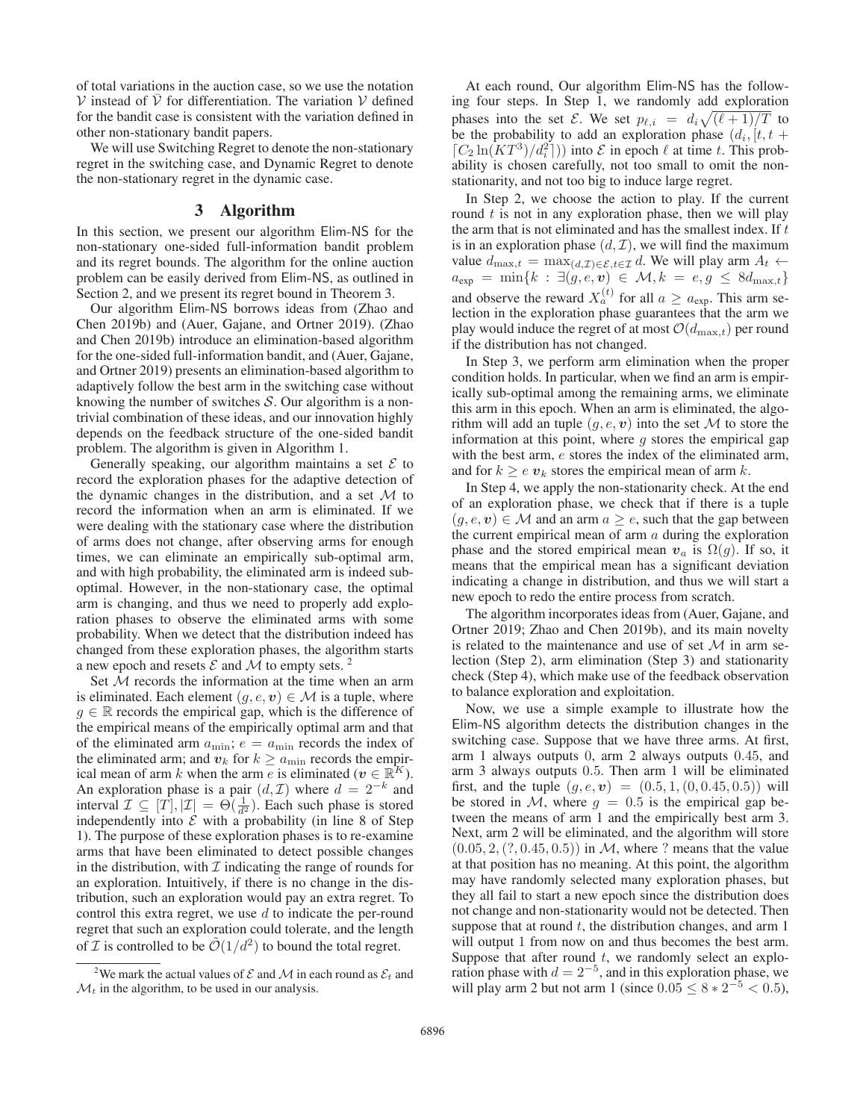of total variations in the auction case, so we use the notation  $V$  instead of  $\overline{V}$  for differentiation. The variation  $V$  defined for the bandit case is consistent with the variation defined in other non-stationary bandit papers.

We will use Switching Regret to denote the non-stationary regret in the switching case, and Dynamic Regret to denote the non-stationary regret in the dynamic case.

### 3 Algorithm

In this section, we present our algorithm Elim-NS for the non-stationary one-sided full-information bandit problem and its regret bounds. The algorithm for the online auction problem can be easily derived from Elim-NS, as outlined in Section 2, and we present its regret bound in Theorem 3.

Our algorithm Elim-NS borrows ideas from (Zhao and Chen 2019b) and (Auer, Gajane, and Ortner 2019). (Zhao and Chen 2019b) introduce an elimination-based algorithm for the one-sided full-information bandit, and (Auer, Gajane, and Ortner 2019) presents an elimination-based algorithm to adaptively follow the best arm in the switching case without knowing the number of switches  $S$ . Our algorithm is a nontrivial combination of these ideas, and our innovation highly depends on the feedback structure of the one-sided bandit problem. The algorithm is given in Algorithm 1.

Generally speaking, our algorithm maintains a set  $\mathcal E$  to record the exploration phases for the adaptive detection of the dynamic changes in the distribution, and a set  $\mathcal M$  to record the information when an arm is eliminated. If we were dealing with the stationary case where the distribution of arms does not change, after observing arms for enough times, we can eliminate an empirically sub-optimal arm, and with high probability, the eliminated arm is indeed suboptimal. However, in the non-stationary case, the optimal arm is changing, and thus we need to properly add exploration phases to observe the eliminated arms with some probability. When we detect that the distribution indeed has changed from these exploration phases, the algorithm starts a new epoch and resets  $\mathcal E$  and  $\mathcal M$  to empty sets. <sup>2</sup>

Set  $M$  records the information at the time when an arm is eliminated. Each element  $(g, e, v) \in \mathcal{M}$  is a tuple, where  $g \in \mathbb{R}$  records the empirical gap, which is the difference of the empirical means of the empirically optimal arm and that of the eliminated arm  $a_{\text{min}}$ ;  $e = a_{\text{min}}$  records the index of the eliminated arm; and  $v_k$  for  $k \ge a_{\text{min}}$  records the empirical mean of arm k when the arm e is eliminated ( $v \in \mathbb{R}^K$ ). An exploration phase is a pair  $(d, \mathcal{I})$  where  $d = 2^{-k}$  and interval  $\mathcal{I} \subseteq [T], |\mathcal{I}| = \Theta(\frac{1}{d^2})$ . Each such phase is stored independently into  $\mathcal{E}$  with a probability (in line 8 of Step independently into  $\mathcal E$  with a probability (in line 8 of Step 1). The purpose of these exploration phases is to re-examine arms that have been eliminated to detect possible changes in the distribution, with  $\mathcal I$  indicating the range of rounds for an exploration. Intuitively, if there is no change in the distribution, such an exploration would pay an extra regret. To control this extra regret, we use  $d$  to indicate the per-round regret that such an exploration could tolerate, and the length of *I* is controlled to be  $\mathcal{O}(1/d^2)$  to bound the total regret.

At each round, Our algorithm Elim-NS has the following four steps. In Step 1, we randomly add exploration phases into the set  $\mathcal{E}$ . We set  $p_{\ell,i} = d_i \sqrt{(\ell+1)/T}$  to be the probability to add an exploration phase  $(d_i)$  if  $t +$ be the probability to add an exploration phase  $(d_i, [t, t +$  $[C_2 \ln(KT^3)/d_i^2])$  into  $\mathcal E$  in epoch  $\ell$  at time t. This prob-<br>ability is chosen carefully not too small to omit the nonability is chosen carefully, not too small to omit the nonstationarity, and not too big to induce large regret.

In Step 2, we choose the action to play. If the current round  $t$  is not in any exploration phase, then we will play the arm that is not eliminated and has the smallest index. If  $t$ is in an exploration phase  $(d, \mathcal{I})$ , we will find the maximum value  $d_{\max,t} = \max_{(d,\mathcal{I}) \in \mathcal{E}, t \in \mathcal{I}} d$ . We will play arm  $A_t \leftarrow$  $a_{\exp} = \min\{k : \exists (g, e, v) \in \mathcal{M}, k = e, g \leq 8d_{\max,t}\}\$ and observe the reward  $X_a^{(t)}$  for all  $a \ge a_{\exp}$ . This arm selection in the exploration phase guarantees that the arm we play would induce the regret of at most  $\mathcal{O}(d_{\text{max},t})$  per round if the distribution has not changed.

In Step 3, we perform arm elimination when the proper condition holds. In particular, when we find an arm is empirically sub-optimal among the remaining arms, we eliminate this arm in this epoch. When an arm is eliminated, the algorithm will add an tuple  $(g, e, v)$  into the set M to store the information at this point, where  $q$  stores the empirical gap with the best arm,  $e$  stores the index of the eliminated arm, and for  $k \geq e v_k$  stores the empirical mean of arm k.

In Step 4, we apply the non-stationarity check. At the end of an exploration phase, we check that if there is a tuple  $(g, e, v) \in M$  and an arm  $a \geq e$ , such that the gap between the current empirical mean of arm  $a$  during the exploration phase and the stored empirical mean  $v_a$  is  $\Omega(g)$ . If so, it means that the empirical mean has a significant deviation indicating a change in distribution, and thus we will start a new epoch to redo the entire process from scratch.

The algorithm incorporates ideas from (Auer, Gajane, and Ortner 2019; Zhao and Chen 2019b), and its main novelty is related to the maintenance and use of set  $M$  in arm selection (Step 2), arm elimination (Step 3) and stationarity check (Step 4), which make use of the feedback observation to balance exploration and exploitation.

Now, we use a simple example to illustrate how the Elim-NS algorithm detects the distribution changes in the switching case. Suppose that we have three arms. At first, arm 1 always outputs 0, arm 2 always outputs 0.45, and arm 3 always outputs 0.5. Then arm 1 will be eliminated first, and the tuple  $(g, e, v) = (0.5, 1, (0, 0.45, 0.5))$  will be stored in M, where  $q = 0.5$  is the empirical gap between the means of arm 1 and the empirically best arm 3. Next, arm 2 will be eliminated, and the algorithm will store  $(0.05, 2, (?, 0.45, 0.5))$  in *M*, where ? means that the value at that position has no meaning. At this point, the algorithm may have randomly selected many exploration phases, but they all fail to start a new epoch since the distribution does not change and non-stationarity would not be detected. Then suppose that at round  $t$ , the distribution changes, and arm  $1$ will output 1 from now on and thus becomes the best arm. Suppose that after round  $t$ , we randomly select an exploration phase with  $d = 2^{-5}$ , and in this exploration phase, we will play arm 2 but not arm 1 (since  $0.05 \le 8 \times 2^{-5} < 0.5$ ),

<sup>&</sup>lt;sup>2</sup>We mark the actual values of  $\mathcal E$  and  $\mathcal M$  in each round as  $\mathcal E_t$  and  $\mathcal{M}_t$  in the algorithm, to be used in our analysis.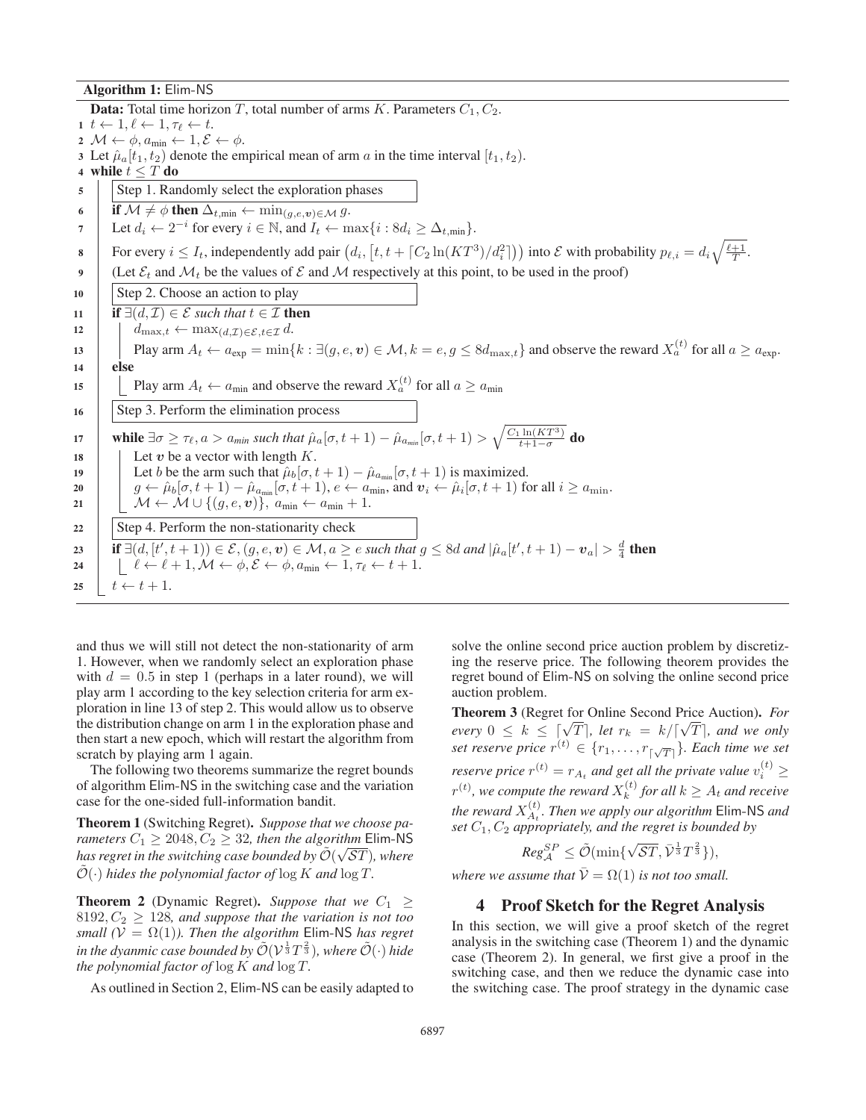Algorithm 1: Elim-NS

**Data:** Total time horizon T, total number of arms K. Parameters  $C_1, C_2$ . 1  $t \leftarrow 1, \ell \leftarrow 1, \tau_{\ell} \leftarrow t.$ <br>
2  $M \leftarrow \phi$  and  $\leftarrow 1$  f 2  $\mathcal{M} \leftarrow \phi, a_{\min} \leftarrow 1, \mathcal{E} \leftarrow \phi.$ 3 Let  $\hat{\mu}_a[t_1, t_2)$  denote the empirical mean of arm a in the time interval  $[t_1, t_2)$ .<br>4 while  $t \leq T$  do while  $t \leq T$  do 5 Step 1. Randomly select the exploration phases 6 if  $\mathcal{M} \neq \phi$  then  $\Delta_{t,\min} \leftarrow \min_{(g,e,v) \in \mathcal{M}} g$ .<br>
Let  $d \neq 2^{-i}$  for every  $i \in \mathbb{N}$  and  $I \neq v$ . 7 Let  $d_i \leftarrow 2^{-i}$  for every  $i \in \mathbb{N}$ , and  $I_t \leftarrow \max\{i : 8d_i \geq \Delta_{t,\min}\}.$ 8 For every  $i \leq I_t$ , independently add pair  $(d_i, [t, t + \lceil C_2 \ln(KT^3)/d_i^2 \rceil))$  into E with probability  $p_{\ell,i} = d_i \sqrt{\frac{\ell+1}{T}}$ . 9 (Let  $\mathcal{E}_t$  and  $\mathcal{M}_t$  be the values of  $\mathcal E$  and  $\mathcal M$  respectively at this point, to be used in the proof)  $10$  Step 2. Choose an action to play 11 if  $\exists (d, \mathcal{I}) \in \mathcal{E}$  *such that*  $t \in \mathcal{I}$  then<br>
12 if  $d_{\max} t \leftarrow \max_{d, \mathcal{I}} \sum_{c \in \mathcal{I}} d$ . 12  $d_{\max,t} \leftarrow \max_{(d,\mathcal{I}) \in \mathcal{E}, t \in \mathcal{I}} d.$ <br>
13 Play arm  $A_t \leftarrow a_{\text{evn}} = \min\{$ 13 Play arm  $A_t \leftarrow a_{exp} = \min\{k : \exists (g, e, v) \in \mathcal{M}, k = e, g \leq 8d_{\max,t}\}\$  and observe the reward  $X_a^{(t)}$  for all  $a \geq a_{exp}$ . else 15 Play arm  $A_t \leftarrow a_{\min}$  and observe the reward  $X_a^{(t)}$  for all  $a \ge a_{\min}$ 16 Step 3. Perform the elimination process 17 while  $\exists \sigma \geq \tau_{\ell}, a > a_{min}$  *such that*  $\hat{\mu}_a[\sigma, t+1) - \hat{\mu}_{a_{min}}[\sigma, t+1) > \sqrt{\frac{C_1 \ln(KT^3)}{t+1-\sigma}}$  do 18 | Let  $v$  be a vector with length  $K$ . 19 Let b be the arm such that  $\hat{\mu}_b[\sigma, t + 1) - \hat{\mu}_{a_{\min}}[\sigma, t + 1)$  is maximized.<br>
20  $q \leftarrow \hat{\mu}_b[\sigma, t + 1) - \hat{\mu}_{a_{\min}}[\sigma, t + 1), e \leftarrow a_{\min}$ , and  $v_i \leftarrow \hat{\mu}_i[\sigma, t + 1)$  for 20  $g \leftarrow \hat{\mu}_b[\sigma, t+1) - \hat{\mu}_{a_{\min}}[\sigma, t+1), e \leftarrow a_{\min}$ , and  $v_i \leftarrow \hat{\mu}_i[\sigma, t+1)$  for all  $i \ge a_{\min}$ .<br>
21  $M \leftarrow M \cup \{(a, e, y)\}\$ 21  $\bigcup \mathcal{M} \leftarrow \mathcal{M} \cup \{(g, e, v)\}, a_{\min} \leftarrow a_{\min} + 1.$ 22  $\parallel$  Step 4. Perform the non-stationarity check 23 if  $\exists (d, [t', t + 1)) \in \mathcal{E}, (g, e, v) \in \mathcal{M}, a \geq e$  *such that*  $g \leq 8d$  *and*  $|\hat{\mu}_a[t', t + 1) - v_a| > \frac{d}{4}$  **then**<br>24  $\downarrow \ell \leftarrow \ell + 1$   $\mathcal{M} \leftarrow \phi \mathcal{E} \leftarrow \phi$  *a*<sub>min</sub>  $\leftarrow 1$   $\tau_{\ell} \leftarrow t + 1$ 24  $\left[\begin{array}{l} \ell \leftarrow \ell + 1, \mathcal{M} \leftarrow \phi, \mathcal{E} \leftarrow \phi, a_{\min} \leftarrow 1, \tau_{\ell} \leftarrow t + 1. \end{array}\right\right]$ 25  $t \leftarrow t + 1$ .

and thus we will still not detect the non-stationarity of arm 1. However, when we randomly select an exploration phase with  $d = 0.5$  in step 1 (perhaps in a later round), we will play arm 1 according to the key selection criteria for arm exploration in line 13 of step 2. This would allow us to observe the distribution change on arm 1 in the exploration phase and then start a new epoch, which will restart the algorithm from scratch by playing arm 1 again.

The following two theorems summarize the regret bounds of algorithm Elim-NS in the switching case and the variation case for the one-sided full-information bandit.

Theorem 1 (Switching Regret). *Suppose that we choose parameters*  $C_1 \ge 2048, C_2 \ge 32$ , *then the algorithm* Elim-NS<br>has regret in the switching case bounded by  $\tilde{O}(\sqrt{ST})$ , where *has regret in the switching case bounded by*  $\mathcal{O}(\sqrt{ST})$ *, where*  $\tilde{\mathcal{O}}(\cdot)$  kides the polynomial factor of  $\log K$  and  $\log T$  $\mathcal{O}(\cdot)$  *hides the polynomial factor of*  $\log K$  *and*  $\log T$ .

**Theorem 2** (Dynamic Regret). *Suppose that we*  $C_1 \geq$  $8192, C_2 \geq 128$ , and suppose that the variation is not too *small* ( $V = \Omega(1)$ *). Then the algorithm* Elim-NS *has regret* in the dyanmic case bounded by  $\tilde{\mathcal{O}}(\mathcal{V}^{\frac{1}{3}}T^{\frac{2}{3}})$ *, where*  $\tilde{\mathcal{O}}(\cdot)$  hide the notynomial factor of log K and log T *the polynomial factor of* log <sup>K</sup> *and* log <sup>T</sup>*.*

As outlined in Section 2, Elim-NS can be easily adapted to

solve the online second price auction problem by discretizing the reserve price. The following theorem provides the regret bound of Elim-NS on solving the online second price auction problem.

Theorem 3 (Regret for Online Second Price Auction). *For* **Find Theorem 3** (Kegret for Offine Second Price Auction). For<br>
every  $0 \le k \le \lceil \sqrt{T} \rceil$ , let  $r_k = k / \lceil \sqrt{T} \rceil$ , and we only<br>
set reserve price  $r^{(t)} \in \{r, \ldots, r\}$  . Each time we set *set reserve price*  $r^{(t)} \in \{r_1, \ldots, r_{\lceil \sqrt{T} \rceil}\}\.$  Each time we set *reserve price*  $r^{(t)} = r_{A_t}$  *and get all the private value*  $v_i^{(t)} \ge$  $r^{(t)}$ , we compute the reward  $X_k^{(t)}$  for all  $k \geq A_t$  and receive *the reward*  $X_{A_t}^{(t)}$ . Then we apply our algorithm Elim-NS and set  $C_1$ ,  $C_2$  appropriately and the regret is bounded by *set*  $C_1$ ,  $C_2$  *appropriately, and the regret is bounded by* 

$$
Reg_{\mathcal{A}}^{SP} \leq \tilde{\mathcal{O}}(\min\{\sqrt{\mathcal{S}T}, \bar{\mathcal{V}}^{\frac{1}{3}}T^{\frac{2}{3}}\}),
$$

*where we assume that*  $V = \Omega(1)$  *is not too small.* 

## 4 Proof Sketch for the Regret Analysis

In this section, we will give a proof sketch of the regret analysis in the switching case (Theorem 1) and the dynamic case (Theorem 2). In general, we first give a proof in the switching case, and then we reduce the dynamic case into the switching case. The proof strategy in the dynamic case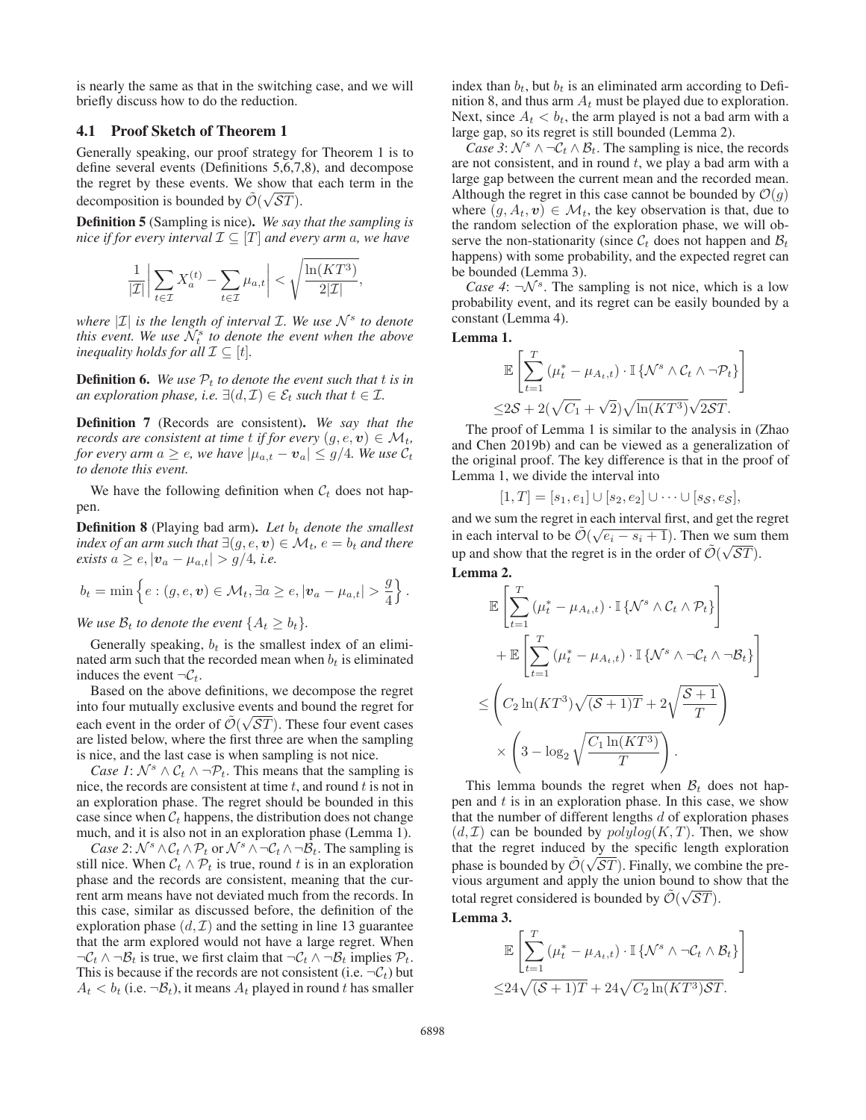is nearly the same as that in the switching case, and we will briefly discuss how to do the reduction.

# 4.1 Proof Sketch of Theorem 1

Generally speaking, our proof strategy for Theorem 1 is to define several events (Definitions 5,6,7,8), and decompose the regret by these events. We show that each term in the decomposition is bounded by  $\mathcal{O}(\sqrt{ST})$ .

Definition 5 (Sampling is nice). *We say that the sampling is nice if for every interval*  $\mathcal{I} \subseteq [T]$  *and every arm a, we have* 

$$
\frac{1}{|\mathcal{I}|} \left| \sum_{t \in \mathcal{I}} X_a^{(t)} - \sum_{t \in \mathcal{I}} \mu_{a,t} \right| < \sqrt{\frac{\ln(KT^3)}{2|\mathcal{I}|}},
$$

*where*  $|\mathcal{I}|$  *is the length of interval I. We use*  $\mathcal{N}^s$  *to denote this event. We use*  $\mathcal{N}_t^s$  *to denote the event when the above inequality holds for all*  $\mathcal{I} \subseteq [t]$ *.* 

**Definition 6.** We use  $P_t$  to denote the event such that t is in *an exploration phase, i.e.*  $\exists (d, \mathcal{I}) \in \mathcal{E}_t$  *such that*  $t \in \mathcal{I}$ *.* 

Definition 7 (Records are consistent). *We say that the records are consistent at time t if for every*  $(q, e, v) \in M_t$ , *for every arm*  $a \geq e$ , we have  $|\mu_{a,t} - \mathbf{v}_a| \leq g/4$ . We use  $\mathcal{C}_t$ *to denote this event.*

We have the following definition when  $\mathcal{C}_t$  does not happen.

**Definition 8** (Playing bad arm). Let  $b_t$  denote the smallest *index of an arm such that*  $\exists (g, e, v) \in \mathcal{M}_t$ ,  $e = b_t$  *and there exists*  $a \geq e, |\mathbf{v}_a - \mu_{a,t}| > g/4$ , *i.e.* 

$$
b_t = \min\left\{e : (g, e, \mathbf{v}) \in \mathcal{M}_t, \exists a \geq e, |\mathbf{v}_a - \mu_{a,t}| > \frac{g}{4}\right\}.
$$

*We use*  $\mathcal{B}_t$  *to denote the event*  $\{A_t \geq b_t\}$ *.* 

Generally speaking,  $b_t$  is the smallest index of an eliminated arm such that the recorded mean when  $b_t$  is eliminated induces the event  $\neg \mathcal{C}_t$ .

Based on the above definitions, we decompose the regret into four mutually exclusive events and bound the regret for each event in the order of  $\mathcal{O}(\sqrt{ST})$ . These four event cases are listed below, where the first three are when the sampling each event in the order of  $\tilde{\mathcal{O}}(\sqrt{ST})$ . These four event cases is nice, and the last case is when sampling is not nice.

*Case 1*:  $\mathcal{N}^s \wedge \mathcal{C}_t \wedge \neg \mathcal{P}_t$ . This means that the sampling is nice, the records are consistent at time  $t$ , and round  $t$  is not in an exploration phase. The regret should be bounded in this case since when  $C_t$  happens, the distribution does not change much, and it is also not in an exploration phase (Lemma 1).

*Case 2*:  $\mathcal{N}^s \wedge \mathcal{C}_t \wedge \mathcal{P}_t$  or  $\mathcal{N}^s \wedge \neg \mathcal{C}_t \wedge \neg \mathcal{B}_t$ . The sampling is still nice. When  $C_t \wedge \mathcal{P}_t$  is true, round t is in an exploration phase and the records are consistent, meaning that the current arm means have not deviated much from the records. In this case, similar as discussed before, the definition of the exploration phase  $(d, \mathcal{I})$  and the setting in line 13 guarantee that the arm explored would not have a large regret. When  $\neg \mathcal{C}_t \land \neg \mathcal{B}_t$  is true, we first claim that  $\neg \mathcal{C}_t \land \neg \mathcal{B}_t$  implies  $\mathcal{P}_t$ . This is because if the records are not consistent (i.e.  $\neg \mathcal{C}_t$ ) but  $A_t < b_t$  (i.e.  $\neg B_t$ ), it means  $A_t$  played in round t has smaller index than  $b_t$ , but  $b_t$  is an eliminated arm according to Definition 8, and thus arm  $A_t$  must be played due to exploration. Next, since  $A_t < b_t$ , the arm played is not a bad arm with a large gap, so its regret is still bounded (Lemma 2).

*Case 3*:  $\mathcal{N}^s \wedge \neg \mathcal{C}_t \wedge \mathcal{B}_t$ . The sampling is nice, the records are not consistent, and in round  $t$ , we play a bad arm with a large gap between the current mean and the recorded mean. Although the regret in this case cannot be bounded by  $\mathcal{O}(g)$ where  $(g, A_t, v) \in \mathcal{M}_t$ , the key observation is that, due to the random selection of the exploration phase, we will observe the non-stationarity (since  $\mathcal{C}_t$  does not happen and  $\mathcal{B}_t$ happens) with some probability, and the expected regret can be bounded (Lemma 3).

*Case 4*:  $\neg \mathcal{N}^s$ . The sampling is not nice, which is a low probability event, and its regret can be easily bounded by a constant (Lemma 4).

Lemma 1.

$$
\mathbb{E}\left[\sum_{t=1}^{T} (\mu_t^* - \mu_{A_t, t}) \cdot \mathbb{I}\left\{\mathcal{N}^s \wedge \mathcal{C}_t \wedge \neg \mathcal{P}_t\right\}\right]
$$
  
 
$$
\leq 2\mathcal{S} + 2(\sqrt{C_1} + \sqrt{2})\sqrt{\ln(KT^3)}\sqrt{2\mathcal{S}T}.
$$
  
The proof of Lemma 1 is similar to the analysis in (Zhao

and Chen 2019b) and can be viewed as a generalization of the original proof. The key difference is that in the proof of Lemma 1, we divide the interval into

$$
[1, T] = [s_1, e_1] \cup [s_2, e_2] \cup \cdots \cup [s_{\mathcal{S}}, e_{\mathcal{S}}],
$$

 $[1, T] = [s_1, e_1] \cup [s_2, e_2] \cup \cdots \cup [s_S, e_S],$ <br>and we sum the regret in each interval first, and get the regret in each interval to be  $\tilde{\mathcal{O}}(\sqrt{e_i-s_i+1})$ . Then we sum them<br>we not show that the regret is in the order of  $\tilde{\mathcal{O}}(\sqrt{ST})$ up and show that the regret is in the order of  $\mathcal{O}(\sqrt{ST})$ .

Lemma 2.

$$
\mathbb{E}\left[\sum_{t=1}^{T}(\mu_t^* - \mu_{A_t,t}) \cdot \mathbb{I}\left\{\mathcal{N}^s \wedge \mathcal{C}_t \wedge \mathcal{P}_t\right\}\right] \n+ \mathbb{E}\left[\sum_{t=1}^{T}(\mu_t^* - \mu_{A_t,t}) \cdot \mathbb{I}\left\{\mathcal{N}^s \wedge \neg \mathcal{C}_t \wedge \neg \mathcal{B}_t\right\}\right] \n\leq \left(C_2 \ln(KT^3) \sqrt{(\mathcal{S}+1)T} + 2\sqrt{\frac{\mathcal{S}+1}{T}}\right) \n\times \left(3 - \log_2 \sqrt{\frac{C_1 \ln(KT^3)}{T}}\right).
$$

This lemma bounds the regret when  $B_t$  does not happen and  $t$  is in an exploration phase. In this case, we show that the number of different lengths  $d$  of exploration phases  $(d, \mathcal{I})$  can be bounded by  $polylog(K, T)$ . Then, we show that the regret induced by the specific length exploration phase is bounded by  $\mathcal{O}(\sqrt{ST})$ . Finally, we combine the pre-<br>vious aroument and apply the union bound to show that the vious argument and apply the union bound to show that the total regret considered is bounded by  $\mathcal{O}(\sqrt{ST})$ .<br>
I amma 2

Lemma 3.

$$
\mathbb{E}\left[\sum_{t=1}^T \left(\mu_t^* - \mu_{A_t,t}\right) \cdot \mathbb{I}\left\{\mathcal{N}^s \wedge \neg \mathcal{C}_t \wedge \mathcal{B}_t\right\}\right]
$$
  

$$
\leq 24\sqrt{(\mathcal{S}+1)T} + 24\sqrt{C_2 \ln(KT^3)\mathcal{S}T}.
$$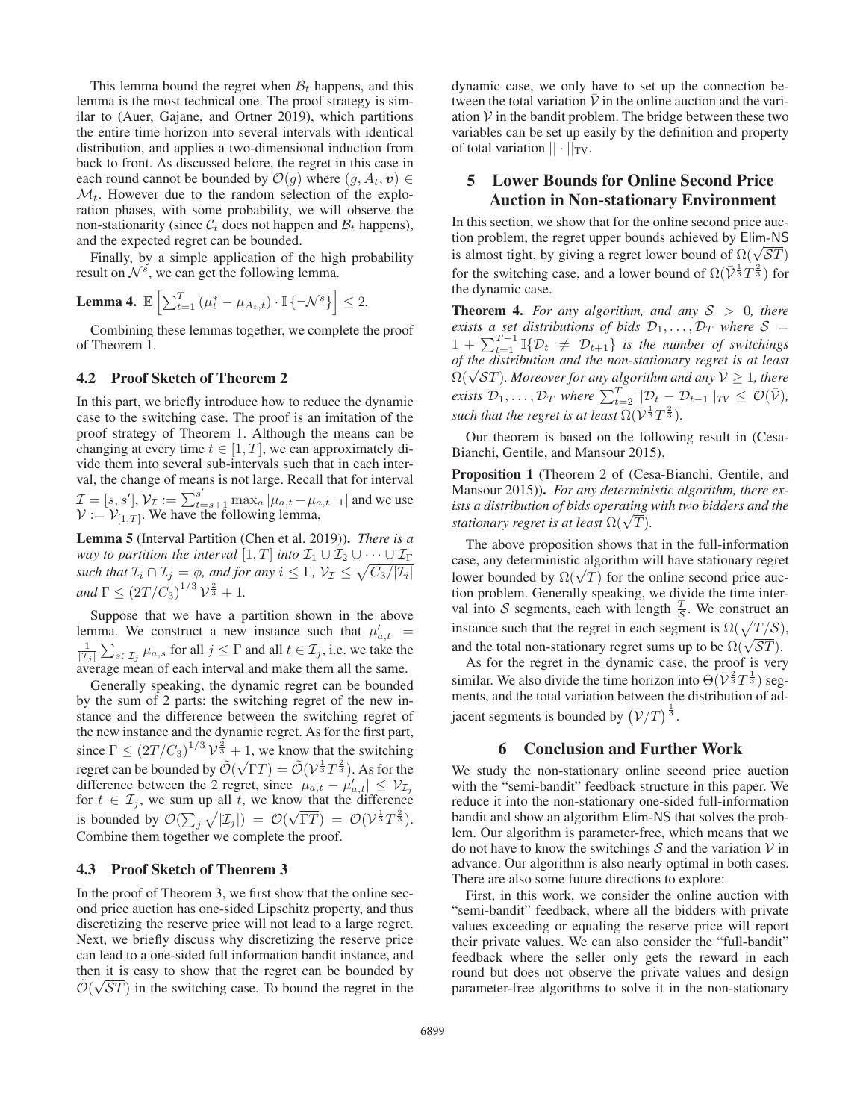This lemma bound the regret when  $B_t$  happens, and this lemma is the most technical one. The proof strategy is similar to (Auer, Gajane, and Ortner 2019), which partitions the entire time horizon into several intervals with identical distribution, and applies a two-dimensional induction from back to front. As discussed before, the regret in this case in each round cannot be bounded by  $\mathcal{O}(g)$  where  $(g, A_t, v) \in$  $\mathcal{M}_t$ . However due to the random selection of the exploration phases, with some probability, we will observe the non-stationarity (since  $\mathcal{C}_t$  does not happen and  $\mathcal{B}_t$  happens), and the expected regret can be bounded.

Finally, by a simple application of the high probability result on  $\mathcal{N}^s$ , we can get the following lemma.

**Lemma 4.** 
$$
\mathbb{E}\left[\sum_{t=1}^{T} \left(\mu_t^* - \mu_{A_t,t}\right) \cdot \mathbb{I}\left\{\neg \mathcal{N}^s\right\}\right] \leq 2.
$$

Combining these lemmas together, we complete the proof of Theorem 1.

### 4.2 Proof Sketch of Theorem 2

In this part, we briefly introduce how to reduce the dynamic case to the switching case. The proof is an imitation of the proof strategy of Theorem 1. Although the means can be changing at every time  $t \in [1, T]$ , we can approximately divide them into several sub-intervals such that in each interval, the change of means is not large. Recall that for interval  $\mathcal{I} = [s, s'], \mathcal{V}_\mathcal{I} := \sum_{t=s+1}^{s'} \max_a |\mu_{a,t} - \mu_{a,t-1}|$  and we use<br> $\mathcal{V} := \mathcal{V}_{1,\mathcal{I}^{\text{in}}}$ . We have the following lemma  $\mathcal{V} := \mathcal{V}_{[1,T]}$ . We have the following lemma,

Lemma 5 (Interval Partition (Chen et al. 2019)). *There is a way to partition the interval*  $[1, T]$  *into*  $\mathcal{I}_1 \cup \mathcal{I}_2 \cup \cdots \cup \mathcal{I}_{\Gamma}$ <br>*augh that*  $\mathcal{I} \cap \mathcal{I} = \phi$  and for any  $i \leq \Gamma$ ,  $\mathcal{V} \leq \sqrt{C \sqrt{|T|}}$ *such that*  $\mathcal{I}_i \cap \mathcal{I}_j = \phi$ *, and for any*  $i \leq \Gamma$ *,*  $\mathcal{V}_\mathcal{I} \leq \sqrt{C_3/|\mathcal{I}_i|}$  $and \Gamma \leq (2T/C_3)^{1/3} \mathcal{V}^{\frac{2}{3}} + 1.$ 

Suppose that we have a partition shown in the above lemma. We construct a new instance such that  $\mu'_{a,t}$  $\mu_{a,t} = \frac{1}{\sum_{l=1}^{\infty} \frac{1}{l}}$  for all  $i \leq \Gamma$  and all  $t \in \mathcal{T}$ , i.e. we take the  $\frac{1}{|Z_j|}\sum_{s\in\mathcal{I}_j}\mu_{a,s}$  for all  $j\leq\Gamma$  and all  $t\in\mathcal{I}_j$ , i.e. we take the average mean of each interval and make them all the same.

Generally speaking, the dynamic regret can be bounded by the sum of 2 parts: the switching regret of the new instance and the difference between the switching regret of the new instance and the dynamic regret. As for the first part, since  $\Gamma \leq (2T/C_3)^{1/3} \mathcal{V}^{\frac{2}{3}} + 1$ , we know that the switching<br>regret can be bounded by  $\tilde{\mathcal{O}}(\sqrt{\Gamma T}) = \tilde{\mathcal{O}}(\mathcal{V}^{\frac{1}{3}}T^{\frac{2}{3}})$ . As for the regret can be bounded by  $\mathcal{O}(\theta)$  $(\sqrt{\Gamma T}) = \tilde{\mathcal{O}}(\mathcal{V}^{\frac{1}{3}}T^{\frac{2}{3}})$ . As for the<br>pret since  $|u_{\tau} - u'|$ ,  $|\leq \mathcal{V}_{\tau}$ difference between the 2 regret, since  $|\mu_{a,t} - \mu'_{a,t}| \leq V_{\mathcal{I}_{j}}$ for  $t \in \mathcal{I}_j$ , we sum up all t, we know that the difference is bounded by  $\mathcal{O}(\sum_j \sqrt{|\mathcal{I}_j|}) = \mathcal{O}(\sqrt{\Gamma T}) = \mathcal{O}(\mathcal{V}^{\frac{1}{3}}T^{\frac{2}{3}})$ .<br>Combine them together we complete the proof Combine them together we complete the proof.

### 4.3 Proof Sketch of Theorem 3

In the proof of Theorem 3, we first show that the online second price auction has one-sided Lipschitz property, and thus discretizing the reserve price will not lead to a large regret. Next, we briefly discuss why discretizing the reserve price can lead to a one-sided full information bandit instance, and then it is easy to show that the regret can be bounded by  $\mathcal{O}(\sqrt{ST})$  in the switching case. To bound the regret in the

dynamic case, we only have to set up the connection between the total variation  $\overline{V}$  in the online auction and the variation  $V$  in the bandit problem. The bridge between these two variables can be set up easily by the definition and property of total variation  $|| \cdot ||_{TV}$ .

# 5 Lower Bounds for Online Second Price Auction in Non-stationary Environment

In this section, we show that for the online second price auction problem, the regret upper bounds achieved by Elim-NS is almost tight, by giving a regret lower bound of  $\Omega(\sqrt{ST})$ <br>for the switching case, and a lower bound of  $\Omega(\sqrt{ST})$ for the switching case, and a lower bound of  $\Omega(\bar{\mathcal{V}}^{\frac{1}{3}}T^{\frac{2}{3}})$  for the dynamic case the dynamic case.

**Theorem 4.** For any algorithm, and any  $S > 0$ , there *exists a set distributions of bids*  $\mathcal{D}_1, \ldots, \mathcal{D}_T$  *where*  $\mathcal{S}$  =  $1 + \sum_{t=1}^{T-1} \mathbb{I}\{D_t \neq D_{t+1}\}$  is the number of switchings<br>of the distribution and the non-stationary regret is at least *of the distribution and the non-stationary regret is at least*  $\Omega(\sqrt{ST})$ *. Moreover for any algorithm and any*  $\overline{V} \geq 1$ *, there*<br> $\overline{V}$ *inite*  $\Omega$  *n*  $\overline{V}$  *n*  $\overline{V}$  *n*  $\overline{V}$  *n*  $\overline{V}$  *n*  $\overline{V}$  *n*  $\overline{V}$  *n*  $\overline{V}$  *n*  $\overline{V}$  *n*  $\overline{V}$  *n*  $\overline{V}$ *exists*  $\mathcal{D}_1, \ldots, \mathcal{D}_T$  *where*  $\sum_{t=2}^T ||\mathcal{D}_t - \mathcal{D}_{t-1}||_{TV} \leq \mathcal{O}(\bar{\mathcal{V}})$ ,<br>*exists* that the negative at least  $\Omega(\bar{\mathcal{V}}_T^{\frac{1}{2}} \mathcal{T}_T^{\frac{2}{2}})$ *such that the regret is at least*  $\Omega(\bar{\mathcal{V}}^{\frac{1}{3}}T^{\frac{2}{3}})$ .

Our theorem is based on the following result in (Cesa-Bianchi, Gentile, and Mansour 2015).

Proposition 1 (Theorem 2 of (Cesa-Bianchi, Gentile, and Mansour 2015)). *For any deterministic algorithm, there exists a distribution of bids operating with two bidders and the stationary regret is at least* Ω( $\sqrt{T}$ ).

The above proposition shows that in the full-information case, any deterministic algorithm will have stationary regret case, any deterministic algorithm will have stationary regret<br>lower bounded by  $\Omega(\sqrt{T})$  for the online second price auc-<br>tion problem. Generally speaking, we divide the time intertion problem. Generally speaking, we divide the time interval into S segments, each with length  $\frac{T}{S}$ . We construct an instance such that the regret in each segment is  $\Omega(\sqrt{T/S})$ , and the total non-stationary regret sums up to be  $\Omega(\sqrt{ST})$ .<br>As for the regret in the dynamic case, the proof is ver-

As for the regret in the dynamic case, the proof is very similar. We also divide the time horizon into  $\Theta(\bar{\mathcal{V}}^{\frac{2}{3}}T^{\frac{1}{3}})$  segments and the total variation between the distribution of adments, and the total variation between the distribution of adjacent segments is bounded by  $(\bar{\mathcal{V}}/T)^{\frac{1}{3}}$ .

### 6 Conclusion and Further Work

We study the non-stationary online second price auction with the "semi-bandit" feedback structure in this paper. We reduce it into the non-stationary one-sided full-information bandit and show an algorithm Elim-NS that solves the problem. Our algorithm is parameter-free, which means that we do not have to know the switchings  $S$  and the variation  $V$  in advance. Our algorithm is also nearly optimal in both cases. There are also some future directions to explore:

First, in this work, we consider the online auction with "semi-bandit" feedback, where all the bidders with private values exceeding or equaling the reserve price will report their private values. We can also consider the "full-bandit" feedback where the seller only gets the reward in each round but does not observe the private values and design parameter-free algorithms to solve it in the non-stationary